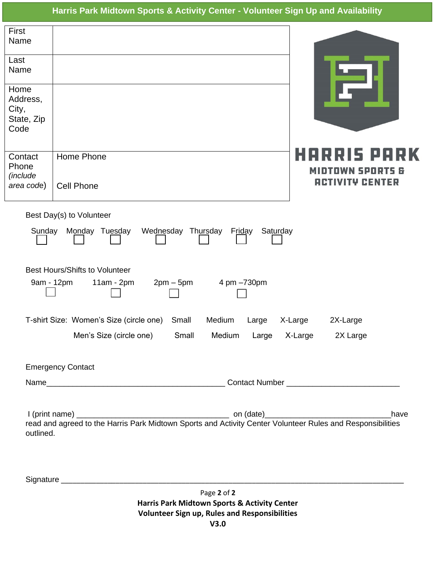## **Harris Park Midtown Sports & Activity Center - Volunteer Sign Up and Availability**

| First<br>Name<br>Last<br>Name                                                                    |                                                                                                                            |                                            |  |
|--------------------------------------------------------------------------------------------------|----------------------------------------------------------------------------------------------------------------------------|--------------------------------------------|--|
| Home<br>Address,<br>City,<br>State, Zip<br>Code                                                  |                                                                                                                            |                                            |  |
| Contact<br>Phone<br>(include<br>area code)                                                       | Home Phone<br><b>Cell Phone</b>                                                                                            | MIOTOW<br><b>ACTIVITY CENTER</b>           |  |
| Best Day(s) to Volunteer<br>Monday Tuesday<br>Wednesday Thursday<br>Friday<br>Saturday<br>Sunday |                                                                                                                            |                                            |  |
| <b>Best Hours/Shifts to Volunteer</b><br>9am - 12pm<br>4 pm -730pm<br>$11am - 2pm$<br>$2pm-5pm$  |                                                                                                                            |                                            |  |
|                                                                                                  | T-shirt Size: Women's Size (circle one)<br>Small<br>Medium<br>Large<br>Men's Size (circle one)<br>Small<br>Medium<br>Large | X-Large<br>2X-Large<br>X-Large<br>2X Large |  |
|                                                                                                  | <b>Emergency Contact</b>                                                                                                   |                                            |  |
|                                                                                                  |                                                                                                                            |                                            |  |
| outlined.                                                                                        | read and agreed to the Harris Park Midtown Sports and Activity Center Volunteer Rules and Responsibilities                 | have                                       |  |
|                                                                                                  |                                                                                                                            |                                            |  |